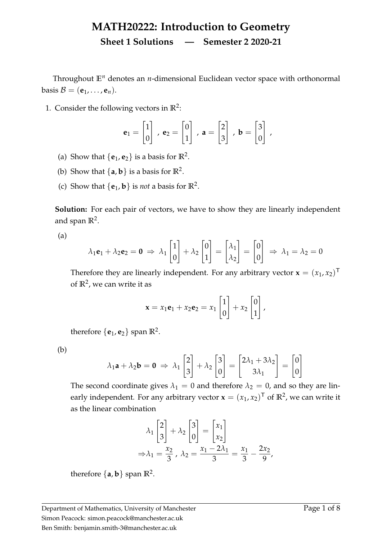## **MATH20222: Introduction to Geometry Sheet 1 Solutions — Semester 2 2020-21**

Throughout **E***<sup>n</sup>* denotes an *n*-dimensional Euclidean vector space with orthonormal basis  $\mathcal{B} = (\mathbf{e}_1, \dots, \mathbf{e}_n).$ 

1. Consider the following vectors in  $\mathbb{R}^2$ :

$$
\mathbf{e}_1 = \begin{bmatrix} 1 \\ 0 \end{bmatrix}, \ \mathbf{e}_2 = \begin{bmatrix} 0 \\ 1 \end{bmatrix}, \ \mathbf{a} = \begin{bmatrix} 2 \\ 3 \end{bmatrix}, \ \mathbf{b} = \begin{bmatrix} 3 \\ 0 \end{bmatrix},
$$

- (a) Show that  $\{e_1, e_2\}$  is a basis for  $\mathbb{R}^2$ .
- (b) Show that  $\{a, b\}$  is a basis for  $\mathbb{R}^2$ .
- (c) Show that  $\{e_1, b\}$  is *not* a basis for  $\mathbb{R}^2$ .

**Solution:** For each pair of vectors, we have to show they are linearly independent and span  $\mathbb{R}^2$ .

(a)

$$
\lambda_1 \mathbf{e}_1 + \lambda_2 \mathbf{e}_2 = \mathbf{0} \implies \lambda_1 \begin{bmatrix} 1 \\ 0 \end{bmatrix} + \lambda_2 \begin{bmatrix} 0 \\ 1 \end{bmatrix} = \begin{bmatrix} \lambda_1 \\ \lambda_2 \end{bmatrix} = \begin{bmatrix} 0 \\ 0 \end{bmatrix} \implies \lambda_1 = \lambda_2 = 0
$$

Therefore they are linearly independent. For any arbitrary vector  $\mathbf{x} = (x_1, x_2)^\mathsf{T}$ of **R**<sup>2</sup> , we can write it as

$$
\mathbf{x} = x_1 \mathbf{e}_1 + x_2 \mathbf{e}_2 = x_1 \begin{bmatrix} 1 \\ 0 \end{bmatrix} + x_2 \begin{bmatrix} 0 \\ 1 \end{bmatrix},
$$

therefore  $\{e_1, e_2\}$  span  $\mathbb{R}^2$ .

(b)

$$
\lambda_1 \mathbf{a} + \lambda_2 \mathbf{b} = \mathbf{0} \implies \lambda_1 \begin{bmatrix} 2 \\ 3 \end{bmatrix} + \lambda_2 \begin{bmatrix} 3 \\ 0 \end{bmatrix} = \begin{bmatrix} 2\lambda_1 + 3\lambda_2 \\ 3\lambda_1 \end{bmatrix} = \begin{bmatrix} 0 \\ 0 \end{bmatrix}
$$

The second coordinate gives  $\lambda_1 = 0$  and therefore  $\lambda_2 = 0$ , and so they are linearly independent. For any arbitrary vector  $\mathbf{x} = (x_1, x_2)^\mathsf{T}$  of  $\mathbb{R}^2$ , we can write it as the linear combination

$$
\lambda_1 \begin{bmatrix} 2 \\ 3 \end{bmatrix} + \lambda_2 \begin{bmatrix} 3 \\ 0 \end{bmatrix} = \begin{bmatrix} x_1 \\ x_2 \end{bmatrix}
$$

$$
\Rightarrow \lambda_1 = \frac{x_2}{3}, \ \lambda_2 = \frac{x_1 - 2\lambda_1}{3} = \frac{x_1}{3} - \frac{2x_2}{9},
$$

therefore  $\{a, b\}$  span  $\mathbb{R}^2$ .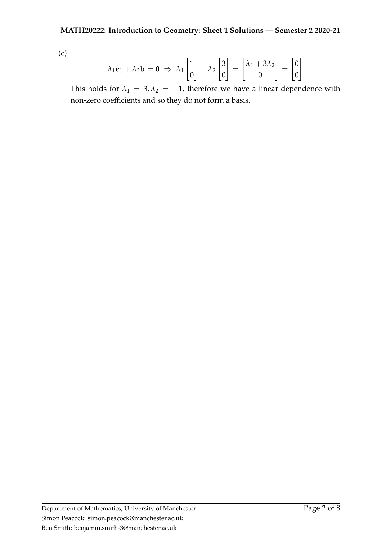(c)

$$
\lambda_1 \mathbf{e}_1 + \lambda_2 \mathbf{b} = \mathbf{0} \implies \lambda_1 \begin{bmatrix} 1 \\ 0 \end{bmatrix} + \lambda_2 \begin{bmatrix} 3 \\ 0 \end{bmatrix} = \begin{bmatrix} \lambda_1 + 3\lambda_2 \\ 0 \end{bmatrix} = \begin{bmatrix} 0 \\ 0 \end{bmatrix}
$$

This holds for  $\lambda_1 = 3, \lambda_2 = -1$ , therefore we have a linear dependence with non-zero coefficients and so they do not form a basis.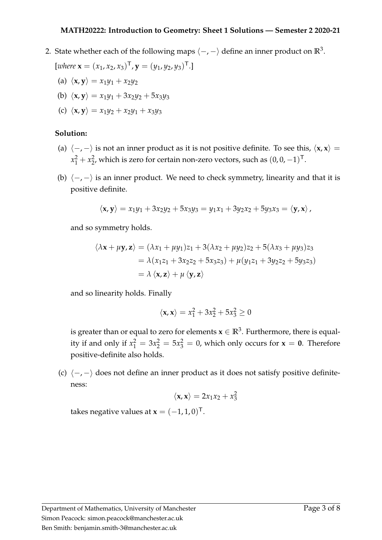2. State whether each of the following maps  $\langle -, - \rangle$  define an inner product on  $\mathbb{R}^3$ .

$$
[where \mathbf{x} = (x_1, x_2, x_3)^\mathsf{T}, \mathbf{y} = (y_1, y_2, y_3)^\mathsf{T}.
$$

- (a)  $\langle \mathbf{x}, \mathbf{y} \rangle = x_1 y_1 + x_2 y_2$
- (b)  $\langle x, y \rangle = x_1 y_1 + 3 x_2 y_2 + 5 x_3 y_3$
- (c)  $\langle x, y \rangle = x_1 y_2 + x_2 y_1 + x_3 y_3$

## **Solution:**

- (a)  $\langle -, \rangle$  is not an inner product as it is not positive definite. To see this,  $\langle x, x \rangle =$  $x_1^2 + x_2^2$  $2^2$ , which is zero for certain non-zero vectors, such as  $(0,0,-1)^{\top}$ .
- (b)  $\langle -, \rangle$  is an inner product. We need to check symmetry, linearity and that it is positive definite.

$$
\langle \mathbf{x}, \mathbf{y} \rangle = x_1 y_1 + 3x_2 y_2 + 5x_3 y_3 = y_1 x_1 + 3y_2 x_2 + 5y_3 x_3 = \langle \mathbf{y}, \mathbf{x} \rangle,
$$

and so symmetry holds.

$$
\langle \lambda \mathbf{x} + \mu \mathbf{y}, \mathbf{z} \rangle = (\lambda x_1 + \mu y_1) z_1 + 3(\lambda x_2 + \mu y_2) z_2 + 5(\lambda x_3 + \mu y_3) z_3
$$
  
=  $\lambda (x_1 z_1 + 3x_2 z_2 + 5x_3 z_3) + \mu (y_1 z_1 + 3y_2 z_2 + 5y_3 z_3)$   
=  $\lambda \langle \mathbf{x}, \mathbf{z} \rangle + \mu \langle \mathbf{y}, \mathbf{z} \rangle$ 

and so linearity holds. Finally

$$
\langle \mathbf{x},\mathbf{x}\rangle=x_1^2+3x_2^2+5x_3^2\geq 0
$$

is greater than or equal to zero for elements  $\mathbf{x} \in \mathbb{R}^3.$  Furthermore, there is equality if and only if  $x_1^2 = 3x_2^2 = 5x_3^2 = 0$ , which only occurs for  $\mathbf{x} = \mathbf{0}$ . Therefore positive-definite also holds.

(c)  $\langle -, - \rangle$  does not define an inner product as it does not satisfy positive definiteness:

$$
\langle \mathbf{x}, \mathbf{x} \rangle = 2x_1x_2 + x_3^2
$$

takes negative values at  $\mathbf{x} = (-1, 1, 0)^{\mathsf{T}}$ .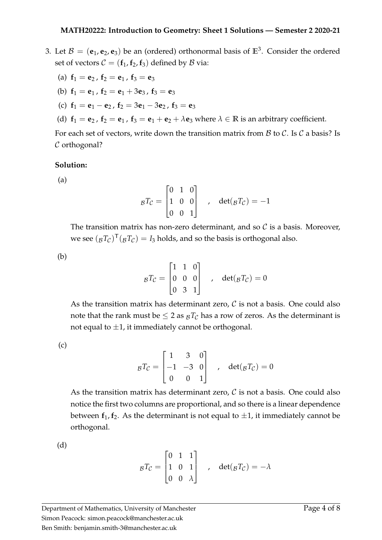- 3. Let  $B = (e_1, e_2, e_3)$  be an (ordered) orthonormal basis of  $\mathbb{E}^3$ . Consider the ordered set of vectors  $C = (\mathbf{f}_1, \mathbf{f}_2, \mathbf{f}_3)$  defined by  $\beta$  via:
	- (a)  $f_1 = e_2$ ,  $f_2 = e_1$ ,  $f_3 = e_3$
	- (b)  $f_1 = e_1$ ,  $f_2 = e_1 + 3e_3$ ,  $f_3 = e_3$
	- (c)  $f_1 = e_1 e_2$ ,  $f_2 = 3e_1 3e_2$ ,  $f_3 = e_3$
	- (d)  $f_1 = e_2$ ,  $f_2 = e_1$ ,  $f_3 = e_1 + e_2 + \lambda e_3$  where  $\lambda \in \mathbb{R}$  is an arbitrary coefficient.

For each set of vectors, write down the transition matrix from  $\beta$  to  $\beta$ . Is  $\beta$  a basis? Is C orthogonal?

## **Solution:**

(a)

$$
{}_{\mathcal{B}}T_{\mathcal{C}} = \begin{bmatrix} 0 & 1 & 0 \\ 1 & 0 & 0 \\ 0 & 0 & 1 \end{bmatrix} , \quad \det(gT_{\mathcal{C}}) = -1
$$

The transition matrix has non-zero determinant, and so  $\mathcal C$  is a basis. Moreover, we see  $({_{\cal B}}T_{\cal C})^{\sf T}({_{\cal B}}T_{\cal C})=I_3$  holds, and so the basis is orthogonal also.

(b)

$$
{}_{\mathcal{B}}T_{\mathcal{C}} = \begin{bmatrix} 1 & 1 & 0 \\ 0 & 0 & 0 \\ 0 & 3 & 1 \end{bmatrix} , \quad \det(gT_{\mathcal{C}}) = 0
$$

As the transition matrix has determinant zero,  $C$  is not a basis. One could also note that the rank must be  $\leq 2$  as  $B_T$ <sup>T</sup>C has a row of zeros. As the determinant is not equal to  $\pm 1$ , it immediately cannot be orthogonal.

(c)

$$
{}_{\mathcal{B}}T_{\mathcal{C}} = \begin{bmatrix} 1 & 3 & 0 \\ -1 & -3 & 0 \\ 0 & 0 & 1 \end{bmatrix} , \quad \det({}_{\mathcal{B}}T_{\mathcal{C}}) = 0
$$

As the transition matrix has determinant zero,  $\mathcal C$  is not a basis. One could also notice the first two columns are proportional, and so there is a linear dependence between  $f_1$ ,  $f_2$ . As the determinant is not equal to  $\pm 1$ , it immediately cannot be orthogonal.

(d)

$$
{}_{\mathcal{B}}T_{\mathcal{C}} = \begin{bmatrix} 0 & 1 & 1 \\ 1 & 0 & 1 \\ 0 & 0 & \lambda \end{bmatrix} , \quad \det({}_{\mathcal{B}}T_{\mathcal{C}}) = -\lambda
$$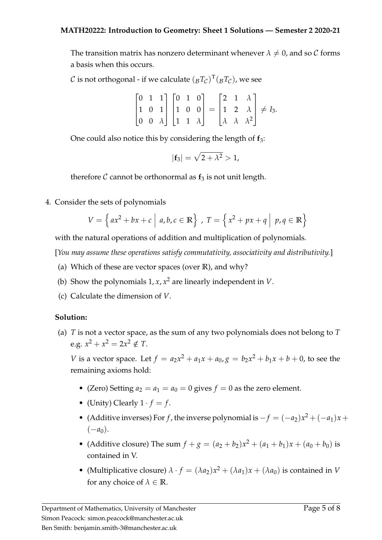The transition matrix has nonzero determinant whenever  $\lambda \neq 0$ , and so C forms a basis when this occurs.

 $\mathcal C$  is not orthogonal - if we calculate  $({_{\mathcal B}}T_{\mathcal C})^{\mathsf T}({_{\mathcal B}}T_{\mathcal C}),$  we see

$$
\begin{bmatrix} 0 & 1 & 1 \\ 1 & 0 & 1 \\ 0 & 0 & \lambda \end{bmatrix} \begin{bmatrix} 0 & 1 & 0 \\ 1 & 0 & 0 \\ 1 & 1 & \lambda \end{bmatrix} = \begin{bmatrix} 2 & 1 & \lambda \\ 1 & 2 & \lambda \\ \lambda & \lambda & \lambda^2 \end{bmatrix} \neq I_3.
$$

One could also notice this by considering the length of **f**3:

$$
|\mathbf{f}_3|=\sqrt{2+\lambda^2}>1,
$$

therefore  $C$  cannot be orthonormal as  $f_3$  is not unit length.

4. Consider the sets of polynomials

$$
V = \left\{ a x^2 + b x + c \mid a, b, c \in \mathbb{R} \right\}, \ T = \left\{ x^2 + p x + q \mid p, q \in \mathbb{R} \right\}
$$

with the natural operations of addition and multiplication of polynomials.

[*You may assume these operations satisfy commutativity, associativity and distributivity.*]

- (a) Which of these are vector spaces (over **R**), and why?
- (b) Show the polynomials  $1, x, x^2$  are linearly independent in *V*.
- (c) Calculate the dimension of *V*.

## **Solution:**

(a) *T* is not a vector space, as the sum of any two polynomials does not belong to *T* e.g.  $x^2 + x^2 = 2x^2 \notin T$ .

*V* is a vector space. Let  $f = a_2x^2 + a_1x + a_0$ ,  $g = b_2x^2 + b_1x + b + 0$ , to see the remaining axioms hold:

- (Zero) Setting  $a_2 = a_1 = a_0 = 0$  gives  $f = 0$  as the zero element.
- (Unity) Clearly  $1 \cdot f = f$ .
- (Additive inverses) For *f*, the inverse polynomial is  $-f = (-a_2)x^2 + (-a_1)x +$  $(-a_0)$ .
- (Additive closure) The sum  $f + g = (a_2 + b_2)x^2 + (a_1 + b_1)x + (a_0 + b_0)$  is contained in V.
- (Multiplicative closure)  $\lambda \cdot f = (\lambda a_2)x^2 + (\lambda a_1)x + (\lambda a_0)$  is contained in *V* for any choice of  $\lambda \in \mathbb{R}$ .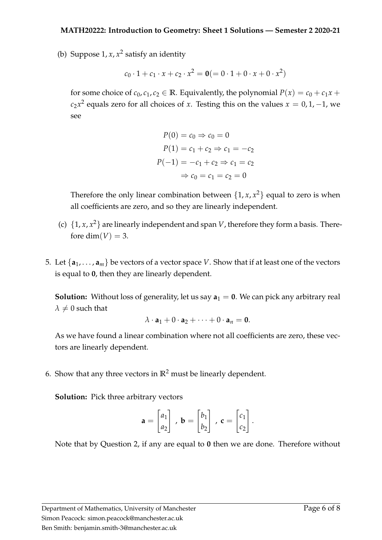(b) Suppose  $1, x, x^2$  satisfy an identity

$$
c_0 \cdot 1 + c_1 \cdot x + c_2 \cdot x^2 = \mathbf{0} (= 0 \cdot 1 + 0 \cdot x + 0 \cdot x^2)
$$

for some choice of  $c_0$ ,  $c_1$ ,  $c_2 \in \mathbb{R}$ . Equivalently, the polynomial  $P(x) = c_0 + c_1x + c_2x$  $c_2x^2$  equals zero for all choices of *x*. Testing this on the values  $x = 0, 1, -1$ , we see

$$
P(0) = c_0 \Rightarrow c_0 = 0
$$
  
\n
$$
P(1) = c_1 + c_2 \Rightarrow c_1 = -c_2
$$
  
\n
$$
P(-1) = -c_1 + c_2 \Rightarrow c_1 = c_2
$$
  
\n
$$
\Rightarrow c_0 = c_1 = c_2 = 0
$$

Therefore the only linear combination between  $\{1, x, x^2\}$  equal to zero is when all coefficients are zero, and so they are linearly independent.

- (c)  $\{1, x, x^2\}$  are linearly independent and span *V*, therefore they form a basis. Therefore dim( $V$ ) = 3.
- 5. Let  $\{a_1, \ldots, a_m\}$  be vectors of a vector space *V*. Show that if at least one of the vectors is equal to **0**, then they are linearly dependent.

**Solution:** Without loss of generality, let us say  $a_1 = 0$ . We can pick any arbitrary real  $\lambda \neq 0$  such that

$$
\lambda \cdot \mathbf{a}_1 + 0 \cdot \mathbf{a}_2 + \cdots + 0 \cdot \mathbf{a}_n = \mathbf{0}.
$$

As we have found a linear combination where not all coefficients are zero, these vectors are linearly dependent.

6. Show that any three vectors in **R**<sup>2</sup> must be linearly dependent.

**Solution:** Pick three arbitrary vectors

$$
\mathbf{a} = \begin{bmatrix} a_1 \\ a_2 \end{bmatrix}, \mathbf{b} = \begin{bmatrix} b_1 \\ b_2 \end{bmatrix}, \mathbf{c} = \begin{bmatrix} c_1 \\ c_2 \end{bmatrix}.
$$

Note that by Question 2, if any are equal to **0** then we are done. Therefore without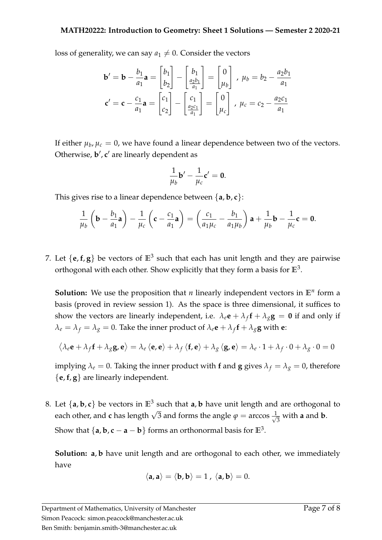loss of generality, we can say  $a_1 \neq 0$ . Consider the vectors

$$
\mathbf{b}' = \mathbf{b} - \frac{b_1}{a_1} \mathbf{a} = \begin{bmatrix} b_1 \\ b_2 \end{bmatrix} - \begin{bmatrix} b_1 \\ \frac{a_2 b_1}{a_1} \end{bmatrix} = \begin{bmatrix} 0 \\ \mu_b \end{bmatrix}, \ \mu_b = b_2 - \frac{a_2 b_1}{a_1}
$$

$$
\mathbf{c}' = \mathbf{c} - \frac{c_1}{a_1} \mathbf{a} = \begin{bmatrix} c_1 \\ c_2 \end{bmatrix} - \begin{bmatrix} c_1 \\ \frac{a_2 c_1}{a_1} \end{bmatrix} = \begin{bmatrix} 0 \\ \mu_c \end{bmatrix}, \ \mu_c = c_2 - \frac{a_2 c_1}{a_1}
$$

If either  $\mu_b$ ,  $\mu_c = 0$ , we have found a linear dependence between two of the vectors. Otherwise, **b'**, c' are linearly dependent as

$$
\frac{1}{\mu_b} \mathbf{b}' - \frac{1}{\mu_c} \mathbf{c}' = \mathbf{0}.
$$

This gives rise to a linear dependence between {**a**, **b**, **c**}:

$$
\frac{1}{\mu_b}\left(\mathbf{b}-\frac{b_1}{a_1}\mathbf{a}\right)-\frac{1}{\mu_c}\left(\mathbf{c}-\frac{c_1}{a_1}\mathbf{a}\right)=\left(\frac{c_1}{a_1\mu_c}-\frac{b_1}{a_1\mu_b}\right)\mathbf{a}+\frac{1}{\mu_b}\mathbf{b}-\frac{1}{\mu_c}\mathbf{c}=\mathbf{0}.
$$

7. Let  $\{e, f, g\}$  be vectors of  $\mathbb{E}^3$  such that each has unit length and they are pairwise orthogonal with each other. Show explicitly that they form a basis for  $\mathbb{E}^3$ .

**Solution:** We use the proposition that *n* linearly independent vectors in **E***<sup>n</sup>* form a basis (proved in review session 1). As the space is three dimensional, it suffices to show the vectors are linearly independent, i.e.  $\lambda_e \mathbf{e} + \lambda_f \mathbf{f} + \lambda_g \mathbf{g} = \mathbf{0}$  if and only if  $\lambda_e = \lambda_f = \lambda_g = 0$ . Take the inner product of  $\lambda_e \mathbf{e} + \lambda_f \mathbf{f} + \lambda_g \mathbf{g}$  with  $\mathbf{e}$ :

$$
\left\langle \lambda_{e}\mathbf{e}+\lambda_{f}\mathbf{f}+\lambda_{g}\mathbf{g},\mathbf{e}\right\rangle =\lambda_{e}\left\langle \mathbf{e},\mathbf{e}\right\rangle +\lambda_{f}\left\langle \mathbf{f},\mathbf{e}\right\rangle +\lambda_{g}\left\langle \mathbf{g},\mathbf{e}\right\rangle =\lambda_{e}\cdot1+\lambda_{f}\cdot0+\lambda_{g}\cdot0=0
$$

implying  $\lambda_e = 0$ . Taking the inner product with **f** and **g** gives  $\lambda_f = \lambda_g = 0$ , therefore {**e**,**f**, **g**} are linearly independent.

8. Let  $\{a, b, c\}$  be vectors in  $\mathbb{E}^3$  such that  $a, b$  have unit length and are orthogonal to each other, and **c** has length  $\sqrt{3}$  and forms the angle  $\varphi = \arccos \frac{1}{\sqrt{3}}$  $\frac{1}{3}$  with **a** and **b**. Show that  $\{ \mathsf{a}, \mathsf{b}, \mathsf{c}-\mathsf{a}-\mathsf{b} \}$  forms an orthonormal basis for  $\mathbb{E}^3.$ 

**Solution: a, b** have unit length and are orthogonal to each other, we immediately have

$$
\langle \mathbf{a}, \mathbf{a} \rangle = \langle \mathbf{b}, \mathbf{b} \rangle = 1, \ \langle \mathbf{a}, \mathbf{b} \rangle = 0.
$$

Department of Mathematics, University of Manchester Simon Peacock: simon.peacock@manchester.ac.uk Ben Smith: benjamin.smith-3@manchester.ac.uk